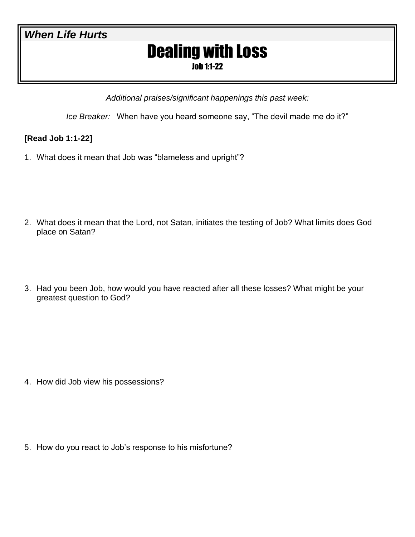### *When Life Hurts*

# Dealing with Loss

Job 1:1-22

*Additional praises/significant happenings this past week:*

*Ice Breaker:* When have you heard someone say, "The devil made me do it?"

### **[Read Job 1:1-22]**

1. What does it mean that Job was "blameless and upright"?

- 2. What does it mean that the Lord, not Satan, initiates the testing of Job? What limits does God place on Satan?
- 3. Had you been Job, how would you have reacted after all these losses? What might be your greatest question to God?

4. How did Job view his possessions?

5. How do you react to Job's response to his misfortune?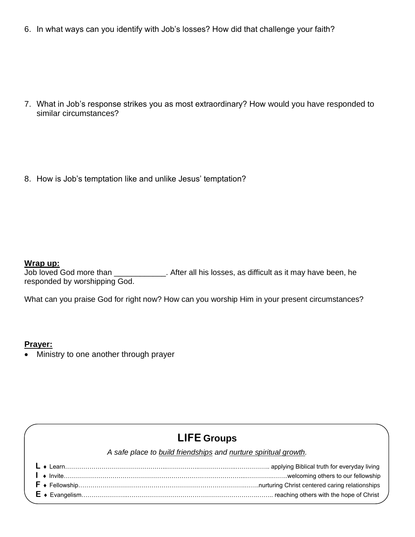6. In what ways can you identify with Job's losses? How did that challenge your faith?

7. What in Job's response strikes you as most extraordinary? How would you have responded to similar circumstances?

8. How is Job's temptation like and unlike Jesus' temptation?

### **Wrap up:**

Job loved God more than \_\_\_\_\_\_\_\_\_\_\_\_. After all his losses, as difficult as it may have been, he responded by worshipping God.

What can you praise God for right now? How can you worship Him in your present circumstances?

### **Prayer:**

• Ministry to one another through prayer

# **LIFE Groups**

|  | $E \rightarrow E$ vangelism…………………………………………………………………………………………… reaching others with the hope of Christ |
|--|--------------------------------------------------------------------------------------------------------|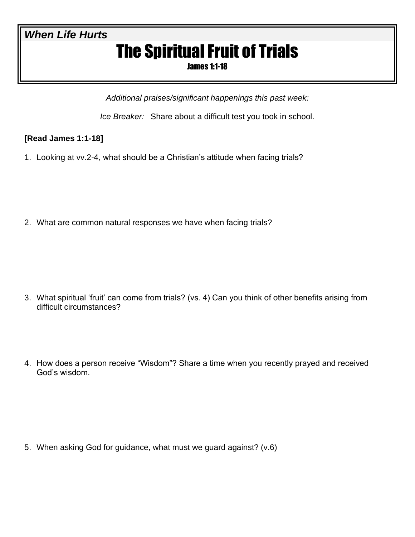# *When Life Hurts*

# The Spiritual Fruit of Trials

James 1:1-18

*Additional praises/significant happenings this past week:*

*Ice Breaker:* Share about a difficult test you took in school.

### **[Read James 1:1-18]**

1. Looking at vv.2-4, what should be a Christian's attitude when facing trials?

2. What are common natural responses we have when facing trials?

- 3. What spiritual 'fruit' can come from trials? (vs. 4) Can you think of other benefits arising from difficult circumstances?
- 4. How does a person receive "Wisdom"? Share a time when you recently prayed and received God's wisdom.

5. When asking God for guidance, what must we guard against? (v.6)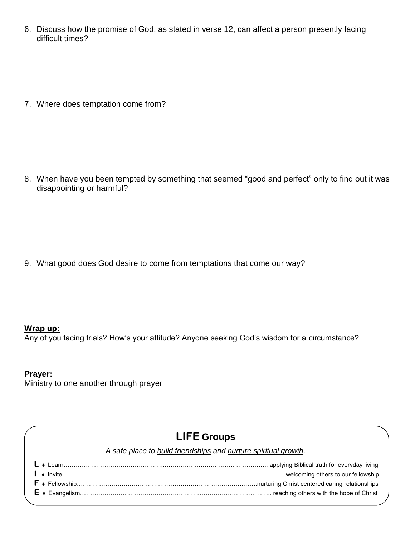6. Discuss how the promise of God, as stated in verse 12, can affect a person presently facing difficult times?

7. Where does temptation come from?

8. When have you been tempted by something that seemed "good and perfect" only to find out it was disappointing or harmful?

9. What good does God desire to come from temptations that come our way?

### **Wrap up:**

Any of you facing trials? How's your attitude? Anyone seeking God's wisdom for a circumstance?

### **Prayer:**

Ministry to one another through prayer

## **LIFE Groups**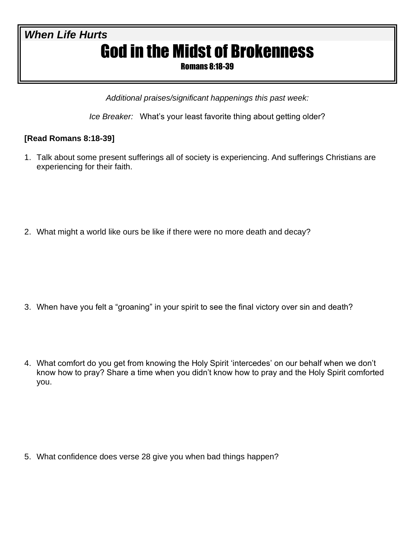# *When Life Hurts* God in the Midst of Brokenness

Romans 8:18-39

*Additional praises/significant happenings this past week:*

*Ice Breaker:* What's your least favorite thing about getting older?

### **[Read Romans 8:18-39]**

1. Talk about some present sufferings all of society is experiencing. And sufferings Christians are experiencing for their faith.

2. What might a world like ours be like if there were no more death and decay?

- 3. When have you felt a "groaning" in your spirit to see the final victory over sin and death?
- 4. What comfort do you get from knowing the Holy Spirit 'intercedes' on our behalf when we don't know how to pray? Share a time when you didn't know how to pray and the Holy Spirit comforted you.

5. What confidence does verse 28 give you when bad things happen?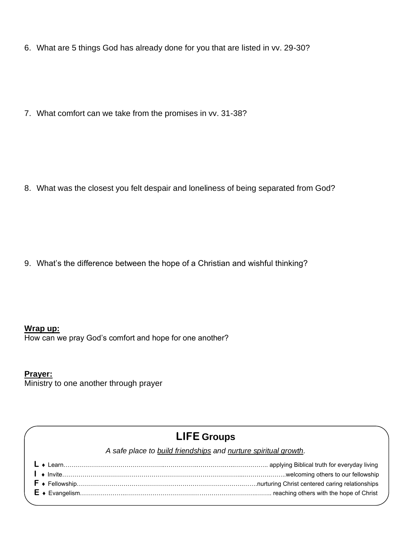6. What are 5 things God has already done for you that are listed in vv. 29-30?

7. What comfort can we take from the promises in vv. 31-38?

8. What was the closest you felt despair and loneliness of being separated from God?

9. What's the difference between the hope of a Christian and wishful thinking?

### **Wrap up:**

How can we pray God's comfort and hope for one another?

### **Prayer:**

Ministry to one another through prayer

## **LIFE Groups**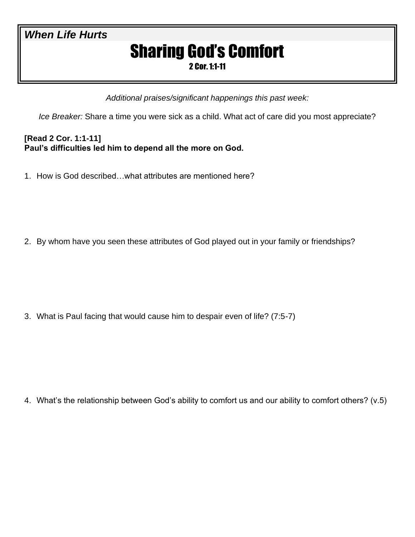## *When Life Hurts*

# Sharing God's Comfort

2 Cor. 1:1-11

*Additional praises/significant happenings this past week:*

*Ice Breaker:* Share a time you were sick as a child. What act of care did you most appreciate?

### **[Read 2 Cor. 1:1-11] Paul's difficulties led him to depend all the more on God.**

1. How is God described…what attributes are mentioned here?

2. By whom have you seen these attributes of God played out in your family or friendships?

3. What is Paul facing that would cause him to despair even of life? (7:5-7)

4. What's the relationship between God's ability to comfort us and our ability to comfort others? (v.5)